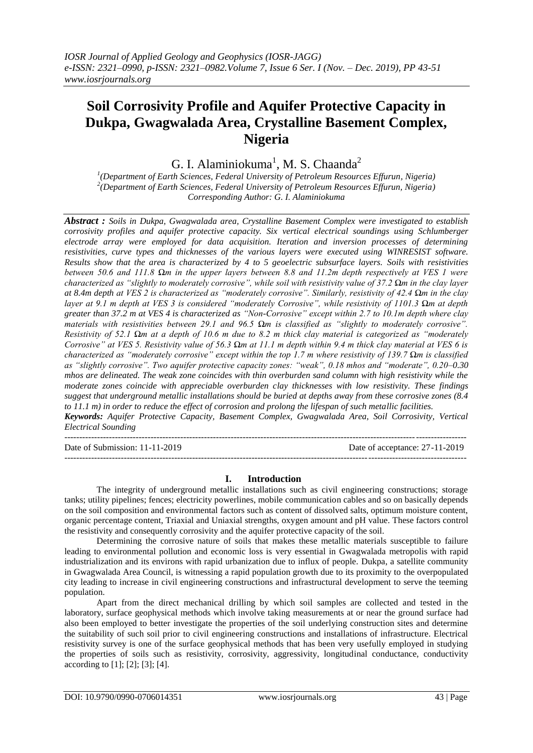# **Soil Corrosivity Profile and Aquifer Protective Capacity in Dukpa, Gwagwalada Area, Crystalline Basement Complex, Nigeria**

G. I. Alaminiokuma<sup>1</sup>, M. S. Chaanda<sup>2</sup>

*1 (Department of Earth Sciences, Federal University of Petroleum Resources Effurun, Nigeria) 2 (Department of Earth Sciences, Federal University of Petroleum Resources Effurun, Nigeria) Corresponding Author: G. I. Alaminiokuma*

*Abstract : Soils in Dukpa, Gwagwalada area, Crystalline Basement Complex were investigated to establish corrosivity profiles and aquifer protective capacity. Six vertical electrical soundings using Schlumberger electrode array were employed for data acquisition. Iteration and inversion processes of determining resistivities, curve types and thicknesses of the various layers were executed using WINRESIST software. Results show that the area is characterized by 4 to 5 geoelectric subsurface layers. Soils with resistivities between 50.6 and 111.8 Ωm in the upper layers between 8.8 and 11.2m depth respectively at VES 1 were characterized as "slightly to moderately corrosive", while soil with resistivity value of 37.2 Ωm in the clay layer at 8.4m depth at VES 2 is characterized as "moderately corrosive". Similarly, resistivity of 42.4 Ωm in the clay layer at 9.1 m depth at VES 3 is considered "moderately Corrosive", while resistivity of 1101.3 Ωm at depth greater than 37.2 m at VES 4 is characterized as "Non-Corrosive" except within 2.7 to 10.1m depth where clay materials with resistivities between 29.1 and 96.5 Ωm is classified as "slightly to moderately corrosive". Resistivity of 52.1 Ωm at a depth of 10.6 m due to 8.2 m thick clay material is categorized as "moderately Corrosive" at VES 5. Resistivity value of 56.3 Ωm at 11.1 m depth within 9.4 m thick clay material at VES 6 is characterized as "moderately corrosive" except within the top 1.7 m where resistivity of 139.7 Ωm is classified as "slightly corrosive". Two aquifer protective capacity zones: "weak", 0.18 mhos and "moderate", 0.20–0.30 mhos are delineated. The weak zone coincides with thin overburden sand column with high resistivity while the moderate zones coincide with appreciable overburden clay thicknesses with low resistivity. These findings suggest that underground metallic installations should be buried at depths away from these corrosive zones (8.4 to 11.1 m) in order to reduce the effect of corrosion and prolong the lifespan of such metallic facilities.*

*Keywords: Aquifer Protective Capacity, Basement Complex, Gwagwalada Area, Soil Corrosivity, Vertical Electrical Sounding*

--------------------------------------------------------------------------------------------------------------------------------------- Date of Submission: 11-11-2019 Date of acceptance: 27-11-2019

### **I. Introduction**

--------------------------------------------------------------------------------------------------------------------------------------*-*

The integrity of underground metallic installations such as civil engineering constructions; storage tanks; utility pipelines; fences; electricity powerlines, mobile communication cables and so on basically depends on the soil composition and environmental factors such as content of dissolved salts, optimum moisture content, organic percentage content, Triaxial and Uniaxial strengths, oxygen amount and pH value. These factors control the resistivity and consequently corrosivity and the aquifer protective capacity of the soil.

Determining the corrosive nature of soils that makes these metallic materials susceptible to failure leading to environmental pollution and economic loss is very essential in Gwagwalada metropolis with rapid industrialization and its environs with rapid urbanization due to influx of people. Dukpa, a satellite community in Gwagwalada Area Council, is witnessing a rapid population growth due to its proximity to the overpopulated city leading to increase in civil engineering constructions and infrastructural development to serve the teeming population.

Apart from the direct mechanical drilling by which soil samples are collected and tested in the laboratory, surface geophysical methods which involve taking measurements at or near the ground surface had also been employed to better investigate the properties of the soil underlying construction sites and determine the suitability of such soil prior to civil engineering constructions and installations of infrastructure. Electrical resistivity survey is one of the surface geophysical methods that has been very usefully employed in studying the properties of soils such as resistivity, corrosivity, aggressivity, longitudinal conductance, conductivity according to [1]; [2]; [3]; [4].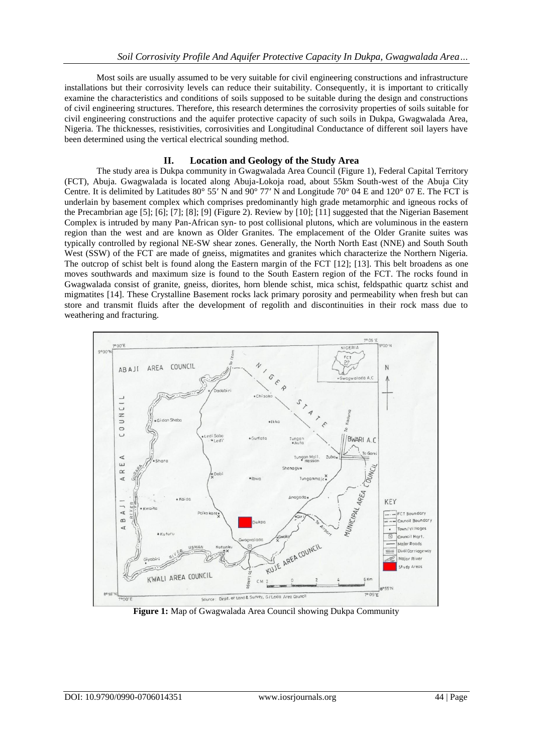Most soils are usually assumed to be very suitable for civil engineering constructions and infrastructure installations but their corrosivity levels can reduce their suitability. Consequently, it is important to critically examine the characteristics and conditions of soils supposed to be suitable during the design and constructions of civil engineering structures. Therefore, this research determines the corrosivity properties of soils suitable for civil engineering constructions and the aquifer protective capacity of such soils in Dukpa, Gwagwalada Area, Nigeria. The thicknesses, resistivities, corrosivities and Longitudinal Conductance of different soil layers have been determined using the vertical electrical sounding method.

## **II. Location and Geology of the Study Area**

The study area is Dukpa community in Gwagwalada Area Council (Figure 1), Federal Capital Territory (FCT), Abuja. Gwagwalada is located along Abuja-Lokoja road, about 55km South-west of the Abuja City Centre. It is delimited by Latitudes 80° 55′ N and 90° 77′ N and Longitude 70° 04 E and 120° 07 E. The FCT is underlain by basement complex which comprises predominantly high grade metamorphic and igneous rocks of the Precambrian age [5]; [6]; [7]; [8]; [9] (Figure 2). Review by [10]; [11] suggested that the Nigerian Basement Complex is intruded by many Pan-African syn- to post collisional plutons, which are voluminous in the eastern region than the west and are known as Older Granites. The emplacement of the Older Granite suites was typically controlled by regional NE-SW shear zones. Generally, the North North East (NNE) and South South West (SSW) of the FCT are made of gneiss, migmatites and granites which characterize the Northern Nigeria. The outcrop of schist belt is found along the Eastern margin of the FCT [12]; [13]. This belt broadens as one moves southwards and maximum size is found to the South Eastern region of the FCT. The rocks found in Gwagwalada consist of granite, gneiss, diorites, horn blende schist, mica schist, feldspathic quartz schist and migmatites [14]. These Crystalline Basement rocks lack primary porosity and permeability when fresh but can store and transmit fluids after the development of regolith and discontinuities in their rock mass due to weathering and fracturing.



**Figure 1:** Map of Gwagwalada Area Council showing Dukpa Community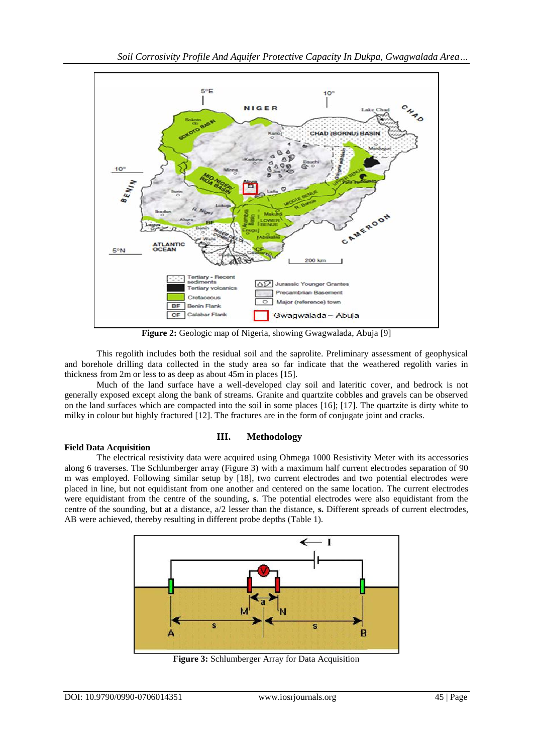

**Figure 2:** Geologic map of Nigeria, showing Gwagwalada, Abuja [9]

This regolith includes both the residual soil and the saprolite. Preliminary assessment of geophysical and borehole drilling data collected in the study area so far indicate that the weathered regolith varies in thickness from 2m or less to as deep as about 45m in places [15].

Much of the land surface have a well-developed clay soil and lateritic cover, and bedrock is not generally exposed except along the bank of streams. Granite and quartzite cobbles and gravels can be observed on the land surfaces which are compacted into the soil in some places [16]; [17]. The quartzite is dirty white to milky in colour but highly fractured [12]. The fractures are in the form of conjugate joint and cracks.

## **III. Methodology**

### **Field Data Acquisition**

The electrical resistivity data were acquired using Ohmega 1000 Resistivity Meter with its accessories along 6 traverses. The Schlumberger array (Figure 3) with a maximum half current electrodes separation of 90 m was employed. Following similar setup by [18], two current electrodes and two potential electrodes were placed in line, but not equidistant from one another and centered on the same location. The current electrodes were equidistant from the centre of the sounding, **s**. The potential electrodes were also equidistant from the centre of the sounding, but at a distance, a/2 lesser than the distance, **s.** Different spreads of current electrodes, AB were achieved, thereby resulting in different probe depths (Table 1).



**Figure 3:** Schlumberger Array for Data Acquisition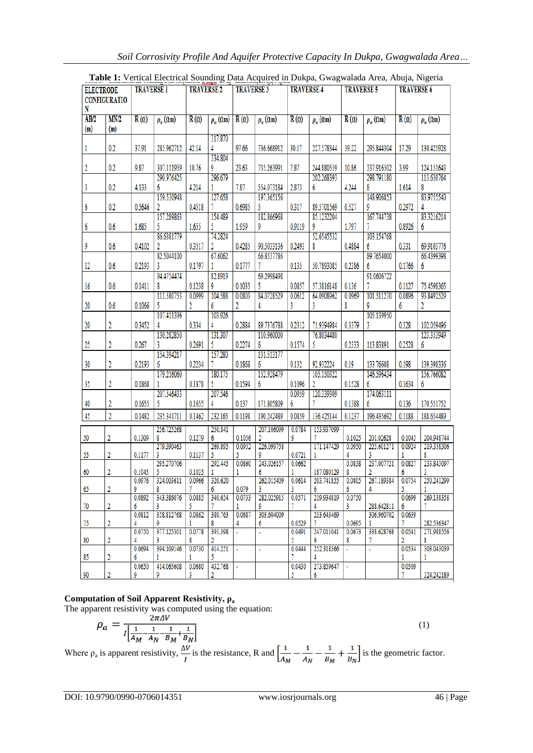| <b>ELECTRODE</b><br><b>CONFIGURATIO</b> |             | <b>TRAVERSE 1</b> |                    | <b>TRAVERSE 2</b> |                    | <b>TRAVERSE 3</b> |                          | <b>TRAVERSE 4</b> |                                                       | <b>TRAVERSE 5</b> |                    | <b>TRAVERSE 6</b> |                          |
|-----------------------------------------|-------------|-------------------|--------------------|-------------------|--------------------|-------------------|--------------------------|-------------------|-------------------------------------------------------|-------------------|--------------------|-------------------|--------------------------|
| N                                       |             |                   |                    |                   |                    |                   |                          |                   |                                                       |                   |                    |                   |                          |
| AB/2<br>(m)                             | MN/2<br>(m) | $R(\Omega)$       | $\rho_a(\Omega m)$ | $R(\Omega)$       | $\rho_a(\Omega m)$ | $R(\Omega)$       | $\rho_a(\Omega m)$       | $R(\Omega)$       | $\rho_a(\Omega m)$                                    | $R(\Omega)$       | $\rho_a(\Omega m)$ | $R(\Omega)$       | $\rho_a(\Omega m)$       |
|                                         |             |                   |                    |                   | 317.870            |                   |                          |                   |                                                       |                   |                    |                   |                          |
| 1                                       | 0.2         | 37.91             | 285.962712         | 42.14             | 334.804            | 97.66             | 736.668912               | 30.17             | 227.578344                                            | 39.22             | 295.844304         | 17.29             | 130.421928               |
| 2                                       | 0.2         | 9.87              | 307.111959         | 10.76             | 9                  | 23.63             | 735.263991               | 7.87              | 244.880559                                            | 10.86             | 337.916502         | 3.99              | 124.151643               |
|                                         |             |                   | 290.976425         |                   | 296.679            |                   |                          |                   | 202.268393                                            |                   | 298.791180         |                   | 113.630764               |
| 3                                       | 0.2         | 4.133             | 6                  | 4.214             |                    | 7.87              | 554.073184               | 2.873             | 6                                                     | 4.244             | 8                  | 1.614             | 8                        |
| 6                                       | 0.2         | 0.5646            | 159.530948<br>2    | 0.4518            | 127.658            | 0.6985            | 197.365156<br>5.         | 0.317             | 89.5701569                                            | 0.527             | 148.906853<br>9    | 0.2972            | 83.9755540               |
|                                         |             |                   | 157.289863         |                   | 154.489            |                   | 182.866968               |                   | 85.1232204                                            |                   | 167.744738         |                   | 83.3216214               |
| 6                                       | 0.6         | 1.685             | 5                  | 1.655             | 5                  | 1.959             | 9                        | 0.9119            | 9                                                     | 1.797             |                    | 0.8926            | 6                        |
|                                         |             |                   | 86.6381779         |                   | 74.2824            |                   |                          |                   | 52.6545532                                            |                   | 103.154768         |                   |                          |
| 9                                       | 0.6         | 0.4102            | 82.5044100         | 0.3517            | 2<br>67.6062       | 0.4285            | 90.5033136<br>66.8537786 | 0.2493            | 8                                                     | 0.4884            | 6<br>89.7654000    | 0.331             | 69.9103776<br>66.4399398 |
| 12                                      | 0.6         | 0.2193            | 3                  | 0.1797            |                    | 0.1777            |                          | 0.135             | 50.7893085                                            | 0.2386            | 6                  | 0.1766            | 6                        |
|                                         |             |                   | 94.4754474         |                   | 82.8919            |                   | 69.2998498               |                   |                                                       |                   | 91.0606722         |                   |                          |
| 16                                      | 0.6         | 0.1411            | 8                  | 0.1238            | 9                  | 0.1035            | 5.                       | 0.0857            | 57.3816148                                            | 0.136             |                    | 0.1127            | 75.4598365               |
|                                         |             |                   | 111.580753         | 0.0999            | 104.588            | 0.0803            | 84.0728529               | 0.0612            | 64.0908962                                            | 0.0969            | 101.511270         | 0.0896            | 93.8492529               |
| 20                                      | 0.6         | 0.1066            | 5<br>107.411396    | 2                 | 6<br>103.926       | 2                 | 4                        | 3                 | 3                                                     | 8                 | 105.139950         | 6                 | 2                        |
| 20                                      | 2           | 0.3452            |                    | 0.334             | 4                  | 0.2884            | 89.7376788               | 0.2312            | 71.9394984                                            | 0.3379            | 3                  | 0.328             | 102.059496               |
|                                         |             |                   | 130.282850         |                   | 131.307            |                   | 110.960000               |                   | 76.8034480                                            |                   |                    |                   | 123.353949               |
| 25                                      | 2           | 0.267             | 3                  | 0.2691            | 5                  | 0.2274            | 6                        | 0.1574            | 5                                                     | 0.2333            | 113.83891          | 0.2528            | 6                        |
| 30                                      | 2           | 0.2193            | 154.394217<br>6    | 0.2234            | 157.280            | 0.1868            | 131.513177<br>6          | 0.132             | 92.932224                                             | 0.19              | 133.76608          | 0.198             | 139.398336               |
|                                         |             |                   | 179.216060         |                   | 180.175            |                   | 152.928479               |                   | 105.150322                                            |                   | 146.596434         |                   | 156.766082               |
| 35                                      | 2           | 0.1868            |                    | 0.1878            | 5                  | 0.1594            | 6                        | 0.1096            | 2                                                     | 0.1528            | 6                  | 0.1634            | 6                        |
|                                         |             |                   | 207.546433         |                   | 207.546            |                   |                          | 0.0959            | 120.339309                                            |                   | 174.063111         |                   |                          |
| 40                                      | 2           | 0.1655            | 5                  | 0.1655            |                    | 0.137             | 171.805809               | 6                 |                                                       | 0.1388            | 6                  | 0.136             | 170.551752               |
| 45                                      | 2           | 0.1482            | 235.341711         | 0.1462            | 232.165            | 0.1198            | 190.242489               | 0.0859            | 136.425144                                            | 0.1237            | 196.435692         | 0.1188            | 188.654489               |
| 50                                      | 2           | 0.1309            | 256.725268<br>8    | 0.1279            | 250.841<br>6       | 0.1056            | 207.106099<br>2          | 0.0784<br>9       | 153.937099<br>7                                       | 0.1025            | 201.02628          | 0.1045            | 204.948744               |
|                                         |             |                   | 279.390463         |                   | 269.895            | 0.0952            | 226.099758               |                   | 171.147429                                            | 0.0950            | 225.601271         | 0.0924            | 219.358306               |
| 55                                      | 2           | 0.1177            | 3                  | 0.1137            | 5                  | 5                 |                          | 0.0721            |                                                       |                   | 3                  |                   | 8                        |
| 60                                      | 2           | 0.1045            | 295.270706<br>5    | 0.1035            | 292.445            | 0.0860            | 243.026157<br>6          | 0.0662            | 187.080129                                            | 0.0838            | 237.007721         | 0.0827<br>6       | 233.843097               |
|                                         |             |                   | 0.0976 324.003611  |                   | 0.0966 320.620     |                   |                          |                   | 262.015409 0.0614 203.741855 0.0805 267.189384 0.0754 |                   |                    |                   | 250.241299               |
| 65                                      | 2           | 9<br>0.0892       | 8<br>343.386076    | 7<br>0.0885       | 6<br>340.654       | 0.079<br>0.0733   | 3<br>282.025915          | 3<br>0.0571       | 6<br>219.934819                                       | 6<br>0.0750       | 4                  | 5.<br>0.0699      | 269.138358               |
| 70                                      | 2           | 6                 | 3.                 | 5.                |                    | 1                 | 9                        |                   | 4                                                     | 3.                | 288.642811         | 6                 | 7                        |
|                                         |             | 0.0812            | 358.812768         | 0.0862            | 380.763            | 0.0687            | 303.604009               |                   | 233.643469                                            |                   | 306.960702         | 0.0639            |                          |
| 75                                      | 2           | 4<br>0.0750       | 377.125301         | 0.0778            | 8<br>391.398       |                   | 6                        | 0.0529<br>0.0491  | 247.011041                                            | 0.0695<br>0.0673  | 338.628768         | 7.<br>0.0541      | 282.536347<br>271.988556 |
| 80                                      | 2           | 4                 | 3                  | 8                 | 2                  |                   |                          | 5.                | 6                                                     | 8                 | 7                  | 2                 | 8                        |
| 85                                      | 2           | 0.0694<br>6       | 394.109146         | 0.0730            | 414.251            |                   | ä,                       | 0.0444            | 252.318366                                            | $\mathbf{r}$      | ä,                 | 0.0534<br>1       | 303.043039<br>1          |
|                                         |             | 0.0650            | 414.065608         | 0.0680            | 432.768            | $\mathbf{r}$      |                          | 0.0430            | 273.859647                                            | $\omega$          |                    | 0.0509            |                          |
| $\frac{90}{2}$                          | 2           | 9.                | 9                  | 3                 | 2                  |                   |                          | 5.                | 6                                                     |                   |                    | 7                 | 324.242189               |

**Table 1:** Vertical Electrical Sounding Data Acquired in Dukpa, Gwagwalada Area, Abuja, Nigeria

#### **Computation of Soil Apparent Resistivity, ρ<sup>a</sup>**

The apparent resistivity was computed using the equation:

$$
\rho_a = \frac{2\pi\Delta V}{I\left[\frac{1}{A_M} - \frac{1}{A_N} - \frac{1}{B_M} + \frac{1}{B_N}\right]}
$$

Where  $\rho_a$  is apparent resistivity,  $\frac{d\rho}{dt}$  is the resistance, R and  $\left|\frac{d\rho}{dt} - \frac{1}{\rho_a} - \frac{1}{\rho_a} + \frac{1}{\rho_a}\right|$  is the geometric factor.

(1)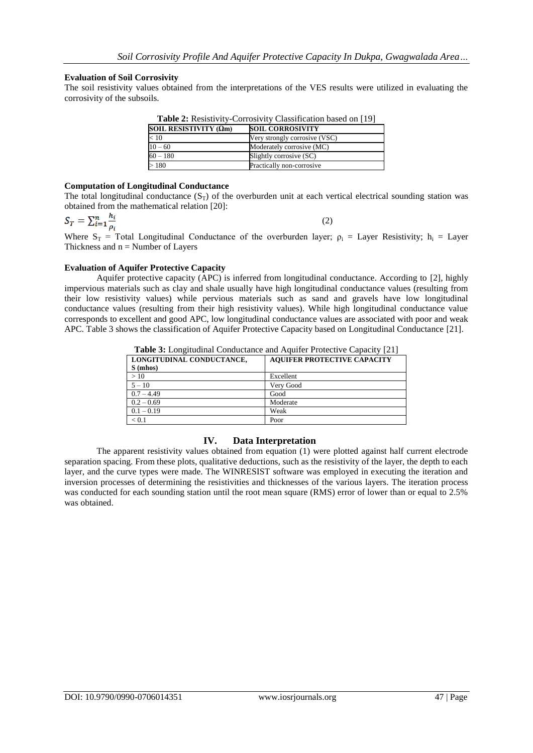#### **Evaluation of Soil Corrosivity**

The soil resistivity values obtained from the interpretations of the VES results were utilized in evaluating the corrosivity of the subsoils.

| <b>Table 2:</b> Resistivity-Corrosivity Classification based on [19] |                               |  |  |  |  |  |
|----------------------------------------------------------------------|-------------------------------|--|--|--|--|--|
| SOIL RESISTIVITY (Ωm)                                                | <b>SOIL CORROSIVITY</b>       |  |  |  |  |  |
| < 10                                                                 | Very strongly corrosive (VSC) |  |  |  |  |  |
| $10 - 60$                                                            | Moderately corrosive (MC)     |  |  |  |  |  |
| $60 - 180$                                                           | Slightly corrosive (SC)       |  |  |  |  |  |
| >180                                                                 | Practically non-corrosive     |  |  |  |  |  |

**Table 2:** Resistivity-Corrosivity Classification based on [19]

### **Computation of Longitudinal Conductance**

The total longitudinal conductance  $(S_T)$  of the overburden unit at each vertical electrical sounding station was obtained from the mathematical relation [20]:

$$
S_T = \sum_{i=1}^n \frac{h_i}{\rho_i} \tag{2}
$$

Where  $S_T$  = Total Longitudinal Conductance of the overburden layer;  $\rho_i$  = Layer Resistivity;  $h_i$  = Layer Thickness and  $n =$  Number of Layers

#### **Evaluation of Aquifer Protective Capacity**

Aquifer protective capacity (APC) is inferred from longitudinal conductance. According to [2], highly impervious materials such as clay and shale usually have high longitudinal conductance values (resulting from their low resistivity values) while pervious materials such as sand and gravels have low longitudinal conductance values (resulting from their high resistivity values). While high longitudinal conductance value corresponds to excellent and good APC, low longitudinal conductance values are associated with poor and weak APC. Table 3 shows the classification of Aquifer Protective Capacity based on Longitudinal Conductance [21].

**Table 3:** Longitudinal Conductance and Aquifer Protective Capacity [21]

| LONGITUDINAL CONDUCTANCE, | <b>AQUIFER PROTECTIVE CAPACITY</b> |
|---------------------------|------------------------------------|
| S(mhos)                   |                                    |
| >10                       | Excellent                          |
| $5 - 10$                  | Very Good                          |
| $0.7 - 4.49$              | Good                               |
| $0.2 - 0.69$              | Moderate                           |
| $0.1 - 0.19$              | Weak                               |
| < 0.1                     | Poor                               |

## **IV. Data Interpretation**

The apparent resistivity values obtained from equation (1) were plotted against half current electrode separation spacing. From these plots, qualitative deductions, such as the resistivity of the layer, the depth to each layer, and the curve types were made. The WINRESIST software was employed in executing the iteration and inversion processes of determining the resistivities and thicknesses of the various layers. The iteration process was conducted for each sounding station until the root mean square (RMS) error of lower than or equal to 2.5% was obtained.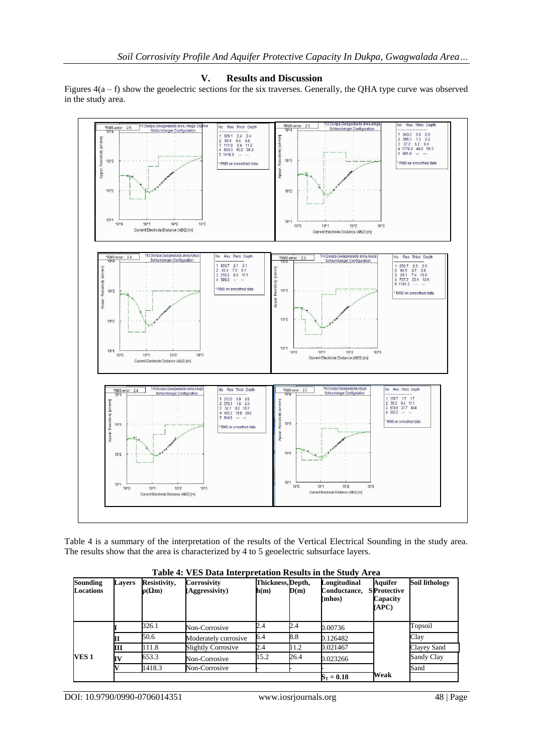#### **V. Results and Discussion**

Figures  $4(a - f)$  show the geoelectric sections for the six traverses. Generally, the QHA type curve was observed in the study area.



Table 4 is a summary of the interpretation of the results of the Vertical Electrical Sounding in the study area. The results show that the area is characterized by 4 to 5 geoelectric subsurface layers.

| <b>Sounding</b><br><b>Locations</b> | <b>Lavers</b> | Resistivity,<br>$p(\Omega m)$ | Corrosivity<br>(Aggressivity) | Thickness, Depth,<br>$\mathbf{h}(\mathbf{m})$ | D(m) | Longitudinal<br>Conductance,<br>(mhos) | Aquifer<br><b>SProtective</b><br>Capacity<br>(APC) | Soil lithology |
|-------------------------------------|---------------|-------------------------------|-------------------------------|-----------------------------------------------|------|----------------------------------------|----------------------------------------------------|----------------|
|                                     |               | 326.1                         | Non-Corrosive                 | 2.4                                           | 2.4  | 0.00736                                |                                                    | Topsoil        |
|                                     |               | 50.6                          | Moderately corrosive          | 6.4                                           | 8.8  | 0.126482                               |                                                    | Clav           |
|                                     | Ш             | 111.8                         | Slightly Corrosive            | 2.4                                           | 11.2 | 0.021467                               |                                                    | Clayey Sand    |
| VES 1                               |               | 653.3                         | Non-Corrosive                 | 15.2                                          | 26.4 | 0.023266                               |                                                    | Sandy Clay     |
|                                     |               | 1418.3                        | Non-Corrosive                 |                                               |      |                                        |                                                    | Sand           |
|                                     |               |                               |                               |                                               |      | $S_T = 0.18$                           | Weak                                               |                |

**Table 4: VES Data Interpretation Results in the Study Area**

DOI: 10.9790/0990-0706014351 www.iosrjournals.org 48 | Page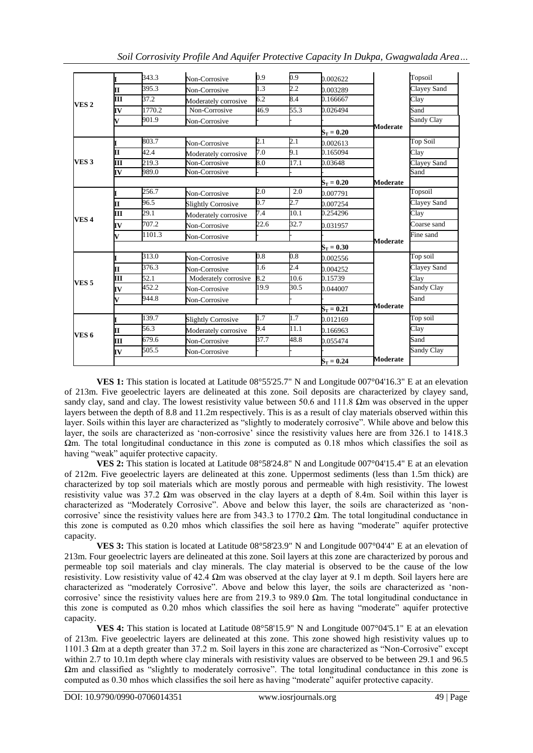|                  |                         | 343.3                  | Non-Corrosive                                  | 0.9              | 0.9     | 0.002622     |                 | Topsoil         |
|------------------|-------------------------|------------------------|------------------------------------------------|------------------|---------|--------------|-----------------|-----------------|
|                  | $\overline{\mathbf{I}}$ | 395.3                  | Non-Corrosive                                  | 1.3              | $2.2\,$ | 0.003289     |                 | Clavey Sand     |
| VES <sub>2</sub> | ПĪ                      | 37.2                   | Moderately corrosive                           | 6.2              | 8.4     | 0.166667     |                 | Clay            |
|                  | <b>IV</b>               | 1770.2                 | Non-Corrosive                                  | 46.9             | 55.3    | 0.026494     |                 | Sand            |
|                  | V                       | 901.9                  | Non-Corrosive                                  |                  |         |              |                 | Sandy Clay      |
|                  |                         |                        |                                                |                  |         | $S_T = 0.20$ | Moderate        |                 |
|                  |                         | 803.7                  | Non-Corrosive                                  | 2.1              | 2.1     | 0.002613     |                 | <b>Top Soil</b> |
|                  | II.                     | 42.4                   | Moderately corrosive                           | 7.0              | 9.1     | 0.165094     |                 | Clay            |
| VES <sub>3</sub> | $\overline{\mathbf{H}}$ | 219.3                  | Non-Corrosive                                  | $\overline{0.8}$ | 17.1    | 0.03648      |                 | Clayey Sand     |
|                  | IV                      | 989.0<br>Non-Corrosive |                                                |                  |         |              |                 | Sand            |
|                  |                         |                        |                                                |                  |         | $S_T = 0.20$ | <b>Moderate</b> |                 |
|                  |                         | 256.7                  | Non-Corrosive                                  | 2.0              | 2.0     | 0.007791     |                 | Topsoil         |
|                  | II.                     | 96.5                   | <b>Slightly Corrosive</b>                      | 0.7              | 2.7     | 0.007254     |                 | Clayey Sand     |
|                  | Ш                       | 29.1                   | Moderately corrosive                           | 7.4              | 10.1    | 0.254296     |                 | Clay            |
| VES <sub>4</sub> | <b>IV</b>               | 707.2                  | Non-Corrosive                                  | 22.6             | 32.7    | 0.031957     |                 | Coarse sand     |
|                  | V                       | 1101.3                 | Non-Corrosive                                  |                  |         |              | <b>Moderate</b> | Fine sand       |
|                  |                         |                        |                                                | $S_T = 0.30$     |         |              |                 |                 |
|                  |                         | 313.0                  | Non-Corrosive                                  | 0.8              | 0.8     | 0.002556     |                 | Top soil        |
|                  | II.                     | 376.3                  | Non-Corrosive                                  | 1.6              | 2.4     | 0.004252     |                 | Clayey Sand     |
| VES <sub>5</sub> | Ш                       | 52.1                   | Moderately corrosive<br>452.2<br>Non-Corrosive |                  | 10.6    | 0.15739      |                 | Clay            |
|                  | [V                      |                        |                                                |                  | 30.5    | 0.044007     |                 | Sandy Clay      |
|                  | V                       | 944.8<br>Non-Corrosive |                                                |                  |         |              |                 | Sand            |
|                  |                         |                        |                                                |                  |         | $S_T = 0.21$ | <b>Moderate</b> |                 |
|                  |                         | 139.7                  | <b>Slightly Corrosive</b>                      | 1.7              | 1.7     | 0.012169     |                 | Top soil        |
| VES 6            | ſT                      | 56.3                   | Moderately corrosive                           | 9.4              | 11.1    | 0.166963     |                 | Clay            |
|                  | Ш                       | 679.6                  | Non-Corrosive                                  | 37.7             | 48.8    | 0.055474     |                 | Sand            |
|                  | [V                      | 505.5                  | Non-Corrosive                                  |                  |         |              |                 | Sandy Clay      |
|                  |                         |                        |                                                |                  |         | $S_T = 0.24$ | <b>Moderate</b> |                 |

*Soil Corrosivity Profile And Aquifer Protective Capacity In Dukpa, Gwagwalada Area…*

**VES 1:** This station is located at Latitude 08°55'25.7" N and Longitude 007°04'16.3" E at an elevation of 213m. Five geoelectric layers are delineated at this zone. Soil deposits are characterized by clayey sand, sandy clay, sand and clay. The lowest resistivity value between 50.6 and 111.8 Ωm was observed in the upper layers between the depth of 8.8 and 11.2m respectively. This is as a result of clay materials observed within this layer. Soils within this layer are characterized as "slightly to moderately corrosive". While above and below this layer, the soils are characterized as 'non-corrosive' since the resistivity values here are from 326.1 to 1418.3  $\Omega$ m. The total longitudinal conductance in this zone is computed as 0.18 mhos which classifies the soil as having "weak" aquifer protective capacity.

**VES 2:** This station is located at Latitude 08°58'24.8" N and Longitude 007°04'15.4" E at an elevation of 212m. Five geoelectric layers are delineated at this zone. Uppermost sediments (less than 1.5m thick) are characterized by top soil materials which are mostly porous and permeable with high resistivity. The lowest resistivity value was 37.2  $\Omega$ m was observed in the clay layers at a depth of 8.4m. Soil within this layer is characterized as "Moderately Corrosive". Above and below this layer, the soils are characterized as "noncorrosive' since the resistivity values here are from 343.3 to 1770.2  $\Omega$ m. The total longitudinal conductance in this zone is computed as 0.20 mhos which classifies the soil here as having "moderate" aquifer protective capacity.

**VES 3:** This station is located at Latitude 08°58'23.9" N and Longitude 007°04'4" E at an elevation of 213m. Four geoelectric layers are delineated at this zone. Soil layers at this zone are characterized by porous and permeable top soil materials and clay minerals. The clay material is observed to be the cause of the low resistivity. Low resistivity value of 42.4  $\Omega$ m was observed at the clay layer at 9.1 m depth. Soil layers here are characterized as "moderately Corrosive". Above and below this layer, the soils are characterized as "noncorrosive' since the resistivity values here are from 219.3 to 989.0  $\Omega$ m. The total longitudinal conductance in this zone is computed as 0.20 mhos which classifies the soil here as having "moderate" aquifer protective capacity.

**VES 4:** This station is located at Latitude 08°58'15.9" N and Longitude 007°04'5.1" E at an elevation of 213m. Five geoelectric layers are delineated at this zone. This zone showed high resistivity values up to 1101.3 Ωm at a depth greater than 37.2 m. Soil layers in this zone are characterized as "Non-Corrosive" except within 2.7 to 10.1m depth where clay minerals with resistivity values are observed to be between 29.1 and 96.5 Ωm and classified as "slightly to moderately corrosive". The total longitudinal conductance in this zone is computed as 0.30 mhos which classifies the soil here as having "moderate" aquifer protective capacity.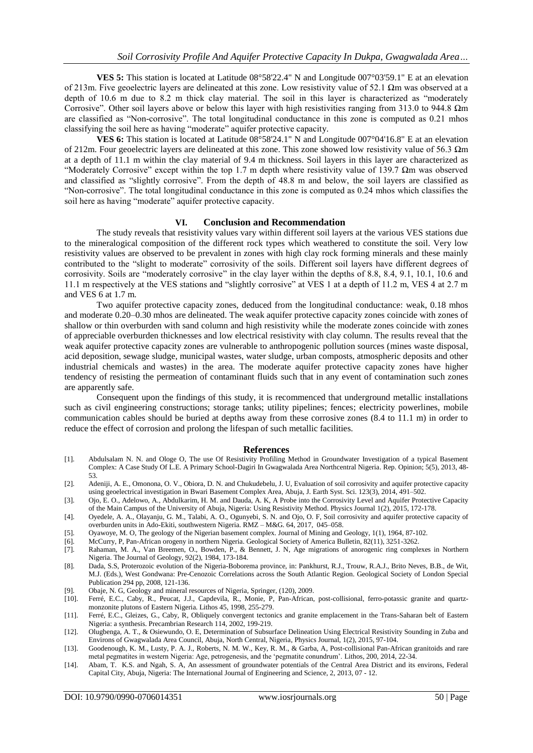**VES 5:** This station is located at Latitude 08°58'22.4" N and Longitude 007°03'59.1" E at an elevation of 213m. Five geoelectric layers are delineated at this zone. Low resistivity value of 52.1 Ωm was observed at a depth of 10.6 m due to 8.2 m thick clay material. The soil in this layer is characterized as "moderately Corrosive". Other soil layers above or below this layer with high resistivities ranging from 313.0 to 944.8  $\Omega$ m are classified as "Non-corrosive". The total longitudinal conductance in this zone is computed as 0.21 mhos classifying the soil here as having "moderate" aquifer protective capacity.

**VES 6:** This station is located at Latitude 08°58'24.1" N and Longitude 007°04'16.8" E at an elevation of 212m. Four geoelectric layers are delineated at this zone. This zone showed low resistivity value of 56.3  $\Omega$ m at a depth of 11.1 m within the clay material of 9.4 m thickness. Soil layers in this layer are characterized as "Moderately Corrosive" except within the top 1.7 m depth where resistivity value of 139.7 Ωm was observed and classified as "slightly corrosive". From the depth of 48.8 m and below, the soil layers are classified as "Non-corrosive". The total longitudinal conductance in this zone is computed as 0.24 mhos which classifies the soil here as having "moderate" aquifer protective capacity.

#### **VI. Conclusion and Recommendation**

The study reveals that resistivity values vary within different soil layers at the various VES stations due to the mineralogical composition of the different rock types which weathered to constitute the soil. Very low resistivity values are observed to be prevalent in zones with high clay rock forming minerals and these mainly contributed to the "slight to moderate" corrosivity of the soils. Different soil layers have different degrees of corrosivity. Soils are "moderately corrosive" in the clay layer within the depths of 8.8, 8.4, 9.1, 10.1, 10.6 and 11.1 m respectively at the VES stations and "slightly corrosive" at VES 1 at a depth of 11.2 m, VES 4 at 2.7 m and VES 6 at 1.7 m.

Two aquifer protective capacity zones, deduced from the longitudinal conductance: weak, 0.18 mhos and moderate 0.20–0.30 mhos are delineated. The weak aquifer protective capacity zones coincide with zones of shallow or thin overburden with sand column and high resistivity while the moderate zones coincide with zones of appreciable overburden thicknesses and low electrical resistivity with clay column. The results reveal that the weak aquifer protective capacity zones are vulnerable to anthropogenic pollution sources (mines waste disposal, acid deposition, sewage sludge, municipal wastes, water sludge, urban composts, atmospheric deposits and other industrial chemicals and wastes) in the area. The moderate aquifer protective capacity zones have higher tendency of resisting the permeation of contaminant fluids such that in any event of contamination such zones are apparently safe.

Consequent upon the findings of this study, it is recommenced that underground metallic installations such as civil engineering constructions; storage tanks; utility pipelines; fences; electricity powerlines, mobile communication cables should be buried at depths away from these corrosive zones (8.4 to 11.1 m) in order to reduce the effect of corrosion and prolong the lifespan of such metallic facilities.

#### **References**

- [1]. Abdulsalam N. N. and Ologe O, The use Of Resistivity Profiling Method in Groundwater Investigation of a typical Basement Complex: A Case Study Of L.E. A Primary School-Dagiri In Gwagwalada Area Northcentral Nigeria. Rep. Opinion; 5(5), 2013, 48- 53.
- [2]. Adeniji, A. E., Omonona, O. V., Obiora, D. N. and Chukudebelu, J. U, Evaluation of soil corrosivity and aquifer protective capacity using geoelectrical investigation in Bwari Basement Complex Area, Abuja, J. Earth Syst. Sci. 123(3), 2014, 491–502.
- [3]. Ojo, E. O., Adelowo, A., Abdulkarim, H. M. and Dauda, A. K, A Probe into the Corrosivity Level and Aquifer Protective Capacity of the Main Campus of the University of Abuja, Nigeria: Using Resistivity Method. Physics Journal 1(2), 2015, 172-178.
- [4]. Oyedele, A. A., Olayanju, G. M., Talabi, A. O., Ogunyebi, S. N. and Ojo, O. F, Soil corrosivity and aquifer protective capacity of overburden units in Ado-Ekiti, southwestern Nigeria. RMZ – M&G. 64, 2017, 045–058.
- [5]. Oyawoye, M. O, The geology of the Nigerian basement complex. Journal of Mining and Geology, 1(1), 1964, 87-102.
- [6]. McCurry, P, Pan-African orogeny in northern Nigeria. Geological Society of America Bulletin, 82(11), 3251-3262.
- Rahaman, M. A., Van Breemen, O., Bowden, P., & Bennett, J. N, Age migrations of anorogenic ring complexes in Northern Nigeria. The Journal of Geology, 92(2), 1984, 173-184.
- [8]. Dada, S.S, Proterozoic evolution of the Nigeria-Boborema province, in: Pankhurst, R.J., Trouw, R.A.J., Brito Neves, B.B., de Wit, M.J. (Eds.), West Gondwana: Pre-Cenozoic Correlations across the South Atlantic Region. Geological Society of London Special Publication 294 pp, 2008, 121-136.
- [9]. Obaje, N. G, Geology and mineral resources of Nigeria, Springer, (120), 2009.
- [10]. Ferré, E.C., Caby, R., Peucat, J.J., Capdevila, R., Monie, P, Pan-African, post-collisional, ferro-potassic granite and quartzmonzonite plutons of Eastern Nigeria. Lithos 45, 1998, 255-279.
- [11]. Ferré, E.C., Gleizes, G., Caby, R, Obliquely convergent tectonics and granite emplacement in the Trans-Saharan belt of Eastern Nigeria: a synthesis. Precambrian Research 114, 2002, 199-219.
- [12]. Olugbenga, A. T., & Osiewundo, O. E, Determination of Subsurface Delineation Using Electrical Resistivity Sounding in Zuba and Environs of Gwagwalada Area Council, Abuja, North Central, Nigeria, Physics Journal, 1(2), 2015, 97-104.
- [13]. Goodenough, K. M., Lusty, P. A. J., Roberts, N. M. W., Key, R. M., & Garba, A, Post-collisional Pan-African granitoids and rare metal pegmatites in western Nigeria: Age, petrogenesis, and the "pegmatite conundrum". Lithos, 200, 2014, 22-34.
- [14]. Abam, T. K.S. and Ngah, S. A, An assessment of groundwater potentials of the Central Area District and its environs, Federal Capital City, Abuja, Nigeria: The International Journal of Engineering and Science, 2, 2013, 07 - 12.